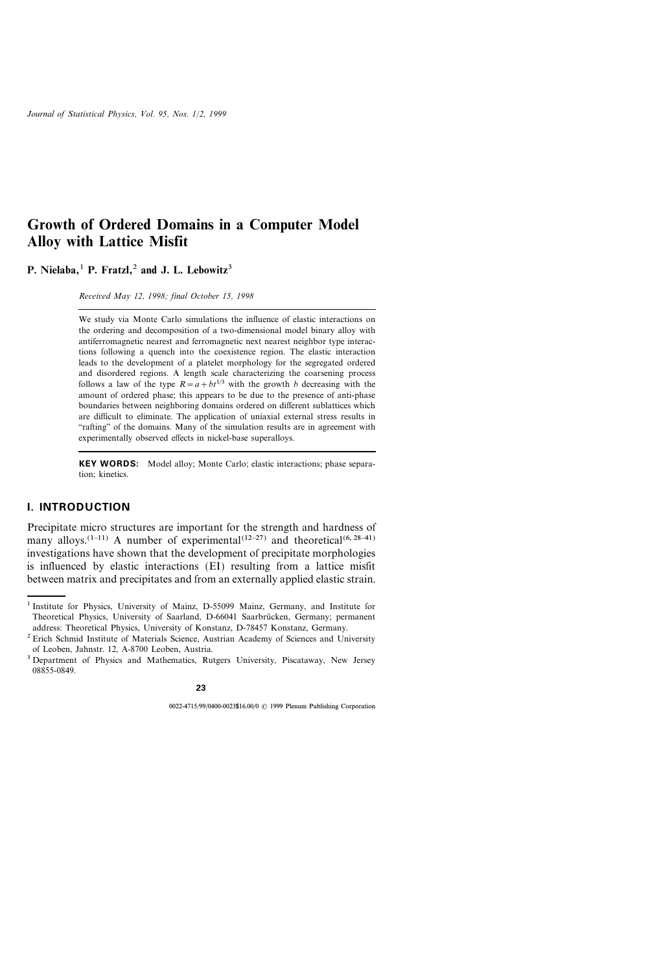# Growth of Ordered Domains in a Computer Model Alloy with Lattice Misfit

P. Nielaba, $<sup>1</sup>$  P. Fratzl, $<sup>2</sup>$  and J. L. Lebowitz<sup>3</sup></sup></sup>

Received May 12, 1998; final October 15, 1998

We study via Monte Carlo simulations the influence of elastic interactions on the ordering and decomposition of a two-dimensional model binary alloy with antiferromagnetic nearest and ferromagnetic next nearest neighbor type interactions following a quench into the coexistence region. The elastic interaction leads to the development of a platelet morphology for the segregated ordered and disordered regions. A length scale characterizing the coarsening process follows a law of the type  $R = a + bt^{1/3}$  with the growth b decreasing with the amount of ordered phase; this appears to be due to the presence of anti-phase boundaries between neighboring domains ordered on different sublattices which are difficult to eliminate. The application of uniaxial external stress results in "rafting" of the domains. Many of the simulation results are in agreement with experimentally observed effects in nickel-base superalloys.

KEY WORDS: Model alloy; Monte Carlo; elastic interactions; phase separation; kinetics.

#### I. INTRODUCTION

Precipitate micro structures are important for the strength and hardness of many alloys.<sup>(1-11)</sup> A number of experimental<sup>(12-27)</sup> and theoretical<sup>(6, 28-41)</sup> investigations have shown that the development of precipitate morphologies is influenced by elastic interactions (EI) resulting from a lattice misfit between matrix and precipitates and from an externally applied elastic strain.

<sup>1</sup> Institute for Physics, University of Mainz, D-55099 Mainz, Germany, and Institute for Theoretical Physics, University of Saarland, D-66041 Saarbrücken, Germany; permanent address: Theoretical Physics, University of Konstanz, D-78457 Konstanz, Germany.

<sup>&</sup>lt;sup>2</sup> Erich Schmid Institute of Materials Science, Austrian Academy of Sciences and University of Leoben, Jahnstr. 12, A-8700 Leoben, Austria.

<sup>3</sup> Department of Physics and Mathematics, Rutgers University, Piscataway, New Jersey 08855-0849.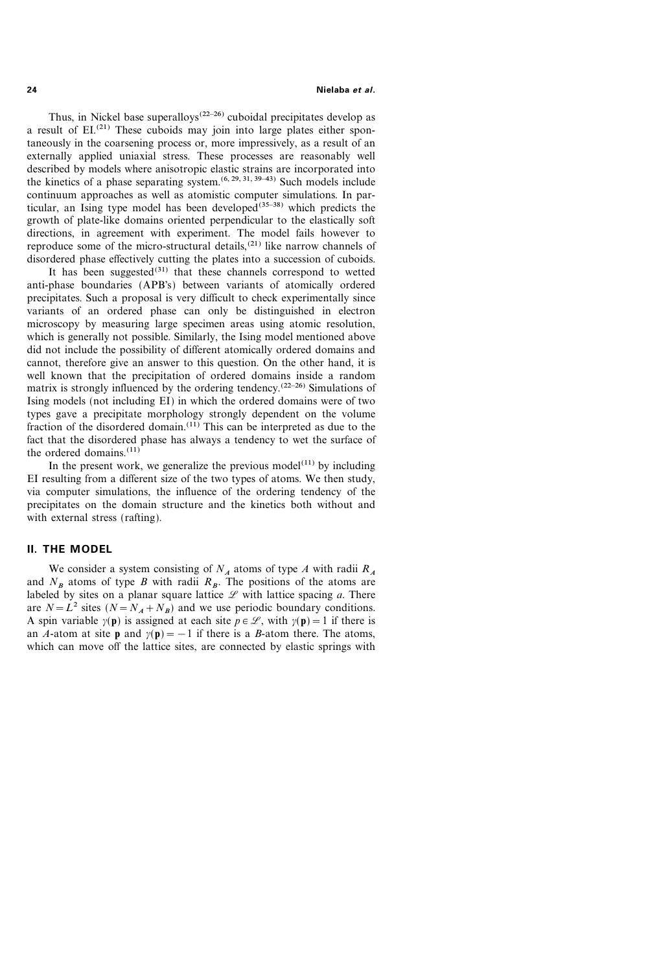24 Nielaba et al.

Thus, in Nickel base superalloys<sup> $(22-26)$ </sup> cuboidal precipitates develop as a result of EI.<sup>(21)</sup> These cuboids may join into large plates either spontaneously in the coarsening process or, more impressively, as a result of an externally applied uniaxial stress. These processes are reasonably well described by models where anisotropic elastic strains are incorporated into the kinetics of a phase separating system.<sup> $(6, 29, 31, 39-43)$ </sup> Such models include continuum approaches as well as atomistic computer simulations. In particular, an Ising type model has been developed<sup>(35-38)</sup> which predicts the growth of plate-like domains oriented perpendicular to the elastically soft directions, in agreement with experiment. The model fails however to reproduce some of the micro-structural details,(21) like narrow channels of disordered phase effectively cutting the plates into a succession of cuboids.

It has been suggested $^{(31)}$  that these channels correspond to wetted anti-phase boundaries (APB's) between variants of atomically ordered precipitates. Such a proposal is very difficult to check experimentally since variants of an ordered phase can only be distinguished in electron microscopy by measuring large specimen areas using atomic resolution, which is generally not possible. Similarly, the Ising model mentioned above did not include the possibility of different atomically ordered domains and cannot, therefore give an answer to this question. On the other hand, it is well known that the precipitation of ordered domains inside a random matrix is strongly influenced by the ordering tendency.<sup> $(22-26)$ </sup> Simulations of Ising models (not including EI) in which the ordered domains were of two types gave a precipitate morphology strongly dependent on the volume fraction of the disordered domain.(11) This can be interpreted as due to the fact that the disordered phase has always a tendency to wet the surface of the ordered domains. $(11)$ 

In the present work, we generalize the previous model $(11)$  by including EI resulting from a different size of the two types of atoms. We then study, via computer simulations, the influence of the ordering tendency of the precipitates on the domain structure and the kinetics both without and with external stress (rafting).

### II. THE MODEL

We consider a system consisting of  $N_A$  atoms of type A with radii  $R_A$ and  $N_B$  atoms of type B with radii  $R_B$ . The positions of the atoms are labeled by sites on a planar square lattice  $\mathscr L$  with lattice spacing a. There are  $N = L^2$  sites  $(N = N_A + N_B)$  and we use periodic boundary conditions. A spin variable  $y(\mathbf{p})$  is assigned at each site  $p \in \mathcal{L}$ , with  $y(\mathbf{p})=1$  if there is an A-atom at site **p** and  $y(\mathbf{p}) = -1$  if there is a B-atom there. The atoms, which can move off the lattice sites, are connected by elastic springs with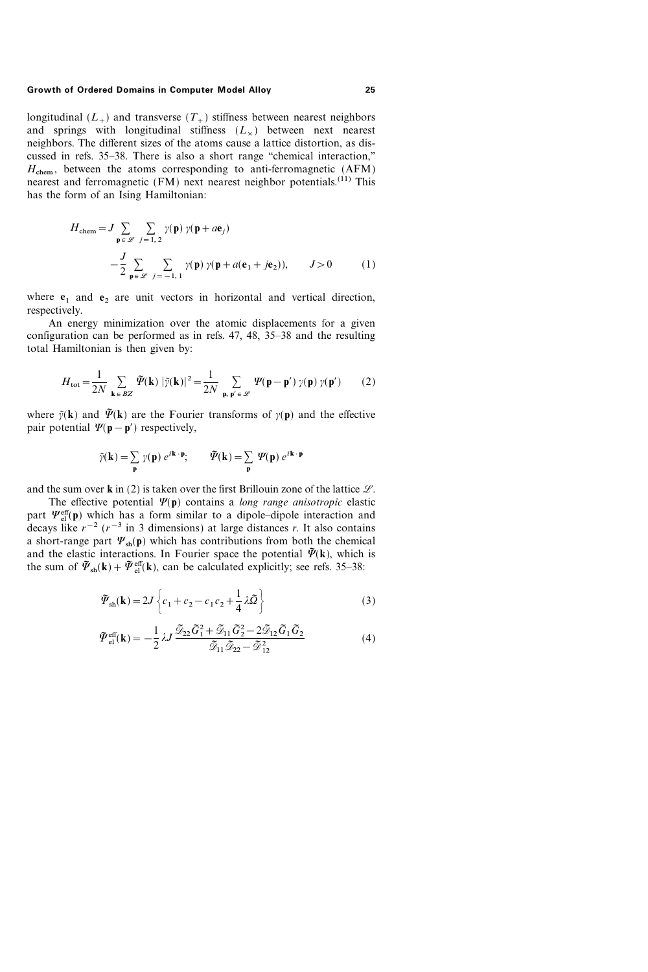longitudinal  $(L_+)$  and transverse  $(T_+)$  stiffness between nearest neighbors and springs with longitudinal stiffness  $(L_x)$  between next nearest neighbors. The different sizes of the atoms cause a lattice distortion, as discussed in refs. 35–38. There is also a short range "chemical interaction,"  $H_{\text{chem}}$ , between the atoms corresponding to anti-ferromagnetic (AFM) nearest and ferromagnetic (FM) next nearest neighbor potentials.<sup>(11)</sup> This has the form of an Ising Hamiltonian:

$$
H_{\text{chem}} = J \sum_{\mathbf{p} \in \mathcal{L}} \sum_{j=1,2} \gamma(\mathbf{p}) \gamma(\mathbf{p} + a\mathbf{e}_j)
$$
  

$$
- \frac{J}{2} \sum_{\mathbf{p} \in \mathcal{L}} \sum_{j=-1,1} \gamma(\mathbf{p}) \gamma(\mathbf{p} + a(\mathbf{e}_1 + j\mathbf{e}_2)), \qquad J > 0 \qquad (1)
$$

where  $e_1$  and  $e_2$  are unit vectors in horizontal and vertical direction, respectively.

An energy minimization over the atomic displacements for a given configuration can be performed as in refs.  $47, 48, 35-38$  and the resulting total Hamiltonian is then given by:

$$
H_{\text{tot}} = \frac{1}{2N} \sum_{\mathbf{k} \in BZ} \tilde{\varPsi}(\mathbf{k}) |\tilde{\gamma}(\mathbf{k})|^2 = \frac{1}{2N} \sum_{\mathbf{p}, \mathbf{p'} \in \mathcal{L}} \Psi(\mathbf{p} - \mathbf{p'}) \gamma(\mathbf{p}) \gamma(\mathbf{p'}) \tag{2}
$$

where  $\tilde{\gamma}(\mathbf{k})$  and  $\tilde{\psi}(\mathbf{k})$  are the Fourier transforms of  $\gamma(\mathbf{p})$  and the effective pair potential  $\Psi(\mathbf{p}-\mathbf{p}')$  respectively,

$$
\tilde{\gamma}(\mathbf{k}) = \sum_{\mathbf{p}} \gamma(\mathbf{p}) e^{i\mathbf{k} \cdot \mathbf{p}}; \qquad \tilde{\mathcal{P}}(\mathbf{k}) = \sum_{\mathbf{p}} \mathcal{V}(\mathbf{p}) e^{i\mathbf{k} \cdot \mathbf{p}}
$$

and the sum over **k** in (2) is taken over the first Brillouin zone of the lattice  $\mathcal{L}$ .

The effective potential  $\Psi(\mathbf{p})$  contains a long range anisotropic elastic part  $\Psi_{el}^{eff}(\mathbf{p})$  which has a form similar to a dipole-dipole interaction and decays like  $r^{-2}$  ( $r^{-3}$  in 3 dimensions) at large distances r. It also contains a short-range part  $\Psi_{sh}(\mathbf{p})$  which has contributions from both the chemical and the elastic interactions. In Fourier space the potential  $\tilde{\varPsi}(\mathbf{k})$ , which is the sum of  $\tilde{\Psi}_{sh}(\mathbf{k})+\tilde{\Psi}_{el}^{eff}(\mathbf{k})$ , can be calculated explicitly; see refs. 35–38:

$$
\tilde{\mathbf{\Psi}}_{sh}(\mathbf{k}) = 2J \left\{ c_1 + c_2 - c_1 c_2 + \frac{1}{4} \lambda \tilde{\mathbf{\Omega}} \right\}
$$
 (3)

$$
\tilde{\mathbf{\Psi}}_{\text{el}}^{\text{eff}}(\mathbf{k}) = -\frac{1}{2} \lambda J \frac{\tilde{\mathcal{D}}_{22} \tilde{G}_1^2 + \tilde{\mathcal{D}}_{11} \tilde{G}_2^2 - 2 \tilde{\mathcal{D}}_{12} \tilde{G}_1 \tilde{G}_2}{\tilde{\mathcal{D}}_{11} \tilde{\mathcal{D}}_{22} - \tilde{\mathcal{D}}_{12}^2} \tag{4}
$$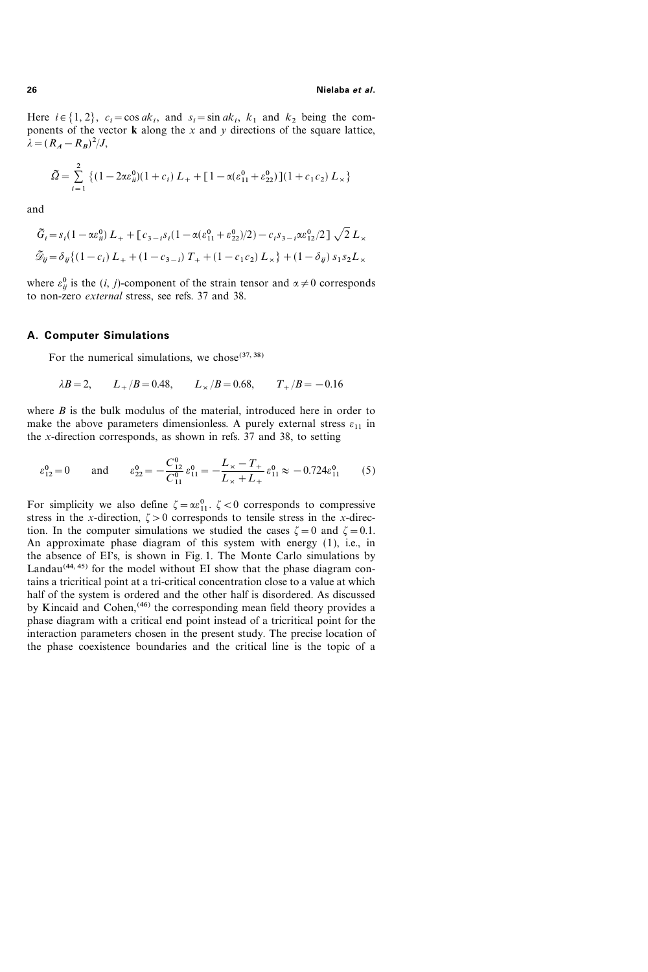Here  $i \in \{1, 2\}$ ,  $c_i = \cos ak_i$ , and  $s_i = \sin ak_i$ ,  $k_1$  and  $k_2$  being the components of the vector  $\bf{k}$  along the x and y directions of the square lattice,  $\lambda = (R_A - R_B)^2 / J,$ 

$$
\tilde{\Omega} = \sum_{i=1}^{2} \left\{ (1 - 2\alpha \varepsilon_{ii}^{0})(1 + c_i) L_{+} + [1 - \alpha(\varepsilon_{11}^{0} + \varepsilon_{22}^{0})](1 + c_1 c_2) L_{\times} \right\}
$$

and

$$
\tilde{G}_i = s_i (1 - \alpha \varepsilon_{ii}^0) L_+ + [c_{3-i} s_i (1 - \alpha (\varepsilon_{11}^0 + \varepsilon_{22}^0)/2) - c_i s_{3-i} \alpha \varepsilon_{12}^0/2] \sqrt{2} L_\times
$$
  

$$
\tilde{\mathcal{D}}_{ij} = \delta_{ij} \{ (1 - c_i) L_+ + (1 - c_{3-i}) T_+ + (1 - c_1 c_2) L_\times \} + (1 - \delta_{ij}) s_1 s_2 L_\times
$$

where  $\varepsilon_{ij}^0$  is the  $(i, j)$ -component of the strain tensor and  $\alpha \neq 0$  corresponds to non-zero external stress, see refs. 37 and 38.

#### A. Computer Simulations

For the numerical simulations, we chose  $(37, 38)$ 

$$
\lambda B = 2,
$$
  $L_{+}/B = 0.48,$   $L_{\times}/B = 0.68,$   $T_{+}/B = -0.16$ 

where  $B$  is the bulk modulus of the material, introduced here in order to make the above parameters dimensionless. A purely external stress  $\varepsilon_{11}$  in the x-direction corresponds, as shown in refs. 37 and 38, to setting

$$
\varepsilon_{12}^0 = 0
$$
 and  $\varepsilon_{22}^0 = -\frac{C_{12}^0}{C_{11}^0} \varepsilon_{11}^0 = -\frac{L_x - T_+}{L_x + L_+} \varepsilon_{11}^0 \approx -0.724 \varepsilon_{11}^0$  (5)

For simplicity we also define  $\zeta = \alpha \varepsilon_{11}^0$ .  $\zeta < 0$  corresponds to compressive stress in the x-direction,  $\zeta > 0$  corresponds to tensile stress in the x-direction. In the computer simulations we studied the cases  $\zeta = 0$  and  $\zeta = 0.1$ . An approximate phase diagram of this system with energy (1), i.e., in the absence of EI's, is shown in Fig. 1. The Monte Carlo simulations by Landau $(44, 45)$  for the model without EI show that the phase diagram contains a tricritical point at a tri-critical concentration close to a value at which half of the system is ordered and the other half is disordered. As discussed by Kincaid and Cohen,<sup>(46)</sup> the corresponding mean field theory provides a phase diagram with a critical end point instead of a tricritical point for the interaction parameters chosen in the present study. The precise location of the phase coexistence boundaries and the critical line is the topic of a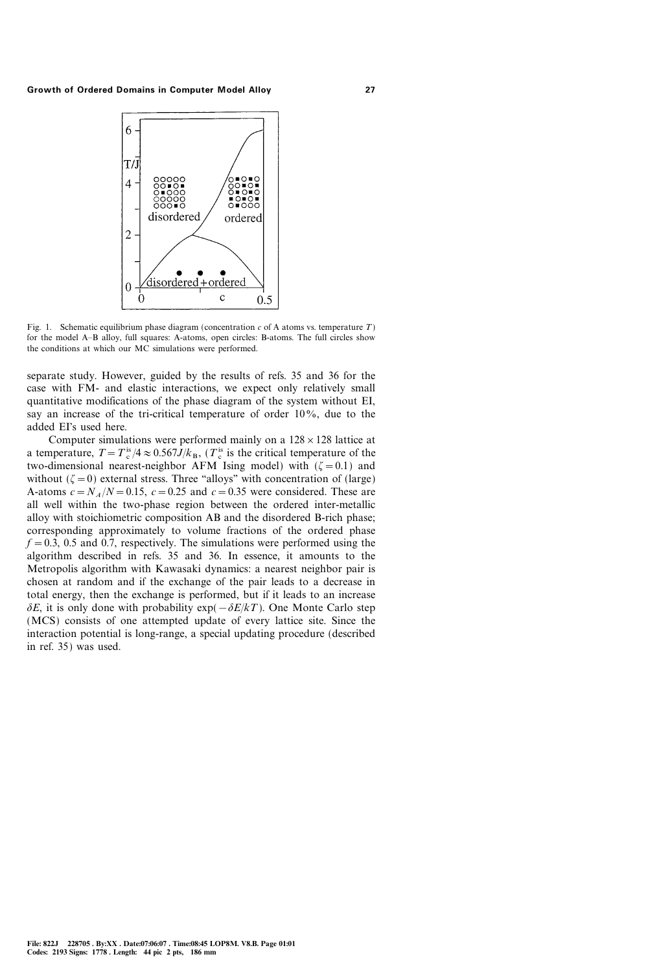

Fig. 1. Schematic equilibrium phase diagram (concentration c of A atoms vs. temperature  $T$ ) for the model A-B alloy, full squares: A-atoms, open circles: B-atoms. The full circles show the conditions at which our MC simulations were performed.

separate study. However, guided by the results of refs. 35 and 36 for the case with FM- and elastic interactions, we expect only relatively small quantitative modifications of the phase diagram of the system without EI, say an increase of the tri-critical temperature of order  $10\%$ , due to the added EI's used here.

Computer simulations were performed mainly on a  $128 \times 128$  lattice at a temperature,  $T = T_c^{is}/4 \approx 0.567J/k_B$ , ( $T_c^{is}$  is the critical temperature of the two-dimensional nearest-neighbor AFM Ising model) with  $(\zeta = 0.1)$  and without  $(\zeta = 0)$  external stress. Three "alloys" with concentration of (large) A-atoms  $c = N_A/N = 0.15$ ,  $c = 0.25$  and  $c = 0.35$  were considered. These are all well within the two-phase region between the ordered inter-metallic alloy with stoichiometric composition AB and the disordered B-rich phase; corresponding approximately to volume fractions of the ordered phase  $f = 0.3$ , 0.5 and 0.7, respectively. The simulations were performed using the algorithm described in refs. 35 and 36. In essence, it amounts to the Metropolis algorithm with Kawasaki dynamics: a nearest neighbor pair is chosen at random and if the exchange of the pair leads to a decrease in total energy, then the exchange is performed, but if it leads to an increase  $\delta E$ , it is only done with probability exp( $-\delta E/kT$ ). One Monte Carlo step (MCS) consists of one attempted update of every lattice site. Since the interaction potential is long-range, a special updating procedure (described in ref. 35) was used.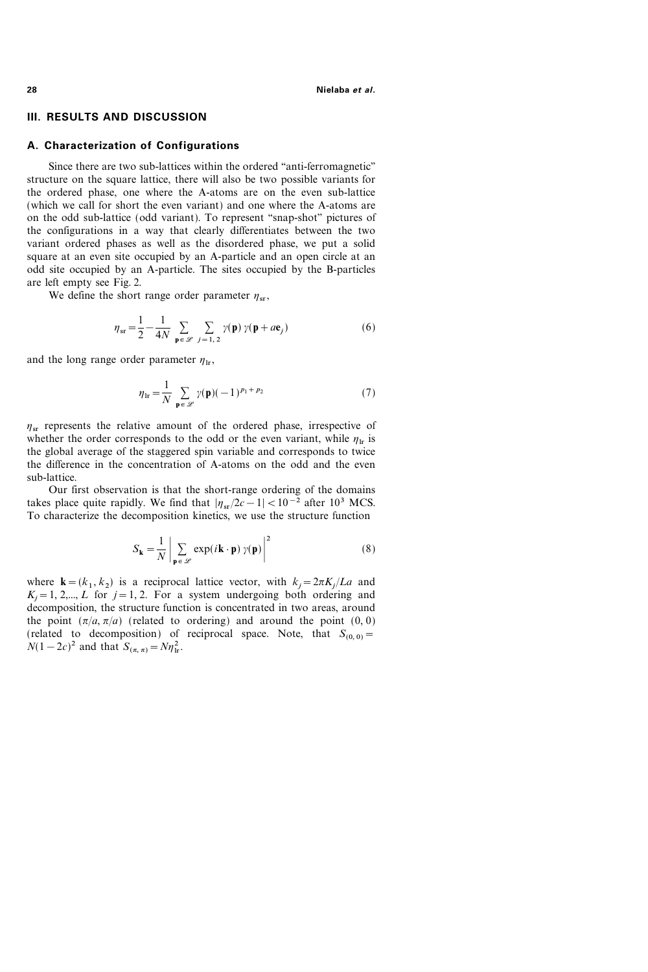### III. RESULTS AND DISCUSSION

## A. Characterization of Configurations

Since there are two sub-lattices within the ordered "anti-ferromagnetic" structure on the square lattice, there will also be two possible variants for the ordered phase, one where the A-atoms are on the even sub-lattice (which we call for short the even variant) and one where the A-atoms are on the odd sub-lattice (odd variant). To represent "snap-shot" pictures of the configurations in a way that clearly differentiates between the two variant ordered phases as well as the disordered phase, we put a solid square at an even site occupied by an A-particle and an open circle at an odd site occupied by an A-particle. The sites occupied by the B-particles are left empty see Fig. 2.

We define the short range order parameter  $\eta_{sr}$ ,

$$
\eta_{sr} = \frac{1}{2} - \frac{1}{4N} \sum_{\mathbf{p} \in \mathcal{L}} \sum_{j=1,2} \gamma(\mathbf{p}) \gamma(\mathbf{p} + a\mathbf{e}_j)
$$
(6)

and the long range order parameter  $\eta_{\text{lr}}$ ,

$$
\eta_{\text{lr}} = \frac{1}{N} \sum_{\mathbf{p} \in \mathcal{L}} \gamma(\mathbf{p})(-1)^{p_1 + p_2} \tag{7}
$$

 $\eta_{sr}$  represents the relative amount of the ordered phase, irrespective of whether the order corresponds to the odd or the even variant, while  $\eta_{\text{tr}}$  is the global average of the staggered spin variable and corresponds to twice the difference in the concentration of A-atoms on the odd and the even sub-lattice.

Our first observation is that the short-range ordering of the domains takes place quite rapidly. We find that  $|\eta_{sr}/2c-1|<10^{-2}$  after 10<sup>3</sup> MCS. To characterize the decomposition kinetics, we use the structure function

$$
S_{\mathbf{k}} = \frac{1}{N} \left| \sum_{\mathbf{p} \in \mathcal{L}} \exp(i\mathbf{k} \cdot \mathbf{p}) \gamma(\mathbf{p}) \right|^2 \tag{8}
$$

where  $\mathbf{k} = (k_1 , k_2)$  is a reciprocal lattice vector, with  $k_j = 2\pi K_j/La$  and  $K_i = 1, 2,..., L$  for  $j = 1, 2$ . For a system undergoing both ordering and decomposition, the structure function is concentrated in two areas, around the point  $(\pi/a, \pi/a)$  (related to ordering) and around the point  $(0, 0)$ (related to decomposition) of reciprocal space. Note, that  $S_{(0, 0)} =$  $N(1-2c)^2$  and that  $S_{(\pi,\pi)} = N\eta_{\rm lr}^2$ .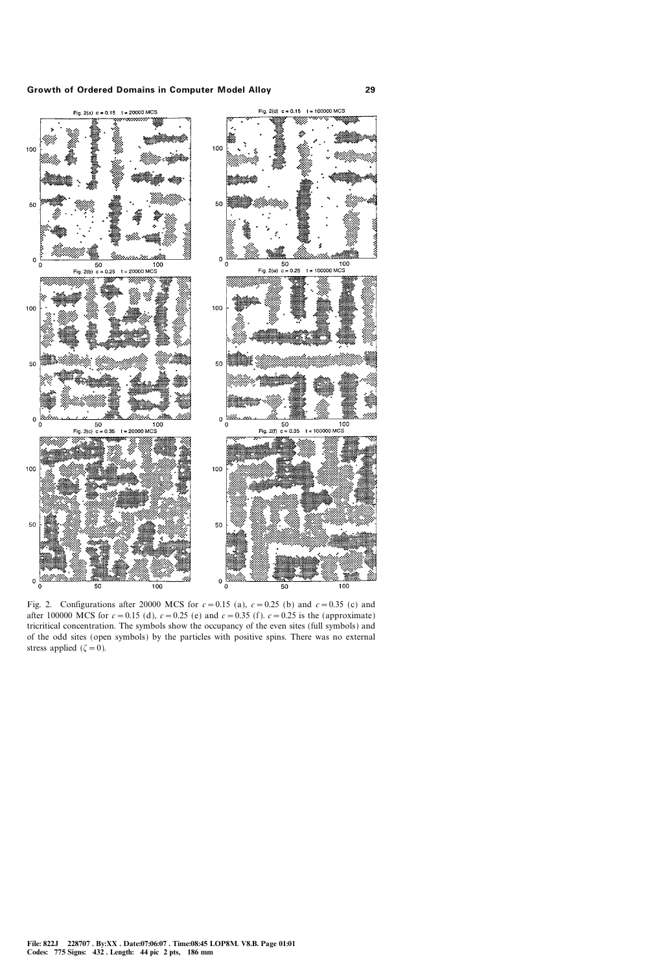

Fig. 2. Configurations after 20000 MCS for  $c=0.15$  (a),  $c=0.25$  (b) and  $c=0.35$  (c) and after 100000 MCS for  $c = 0.15$  (d),  $c = 0.25$  (e) and  $c = 0.35$  (f).  $c = 0.25$  is the (approximate) tricritical concentration. The symbols show the occupancy of the even sites (full symbols) and of the odd sites (open symbols) by the particles with positive spins. There was no external stress applied ( $\zeta=0$ ).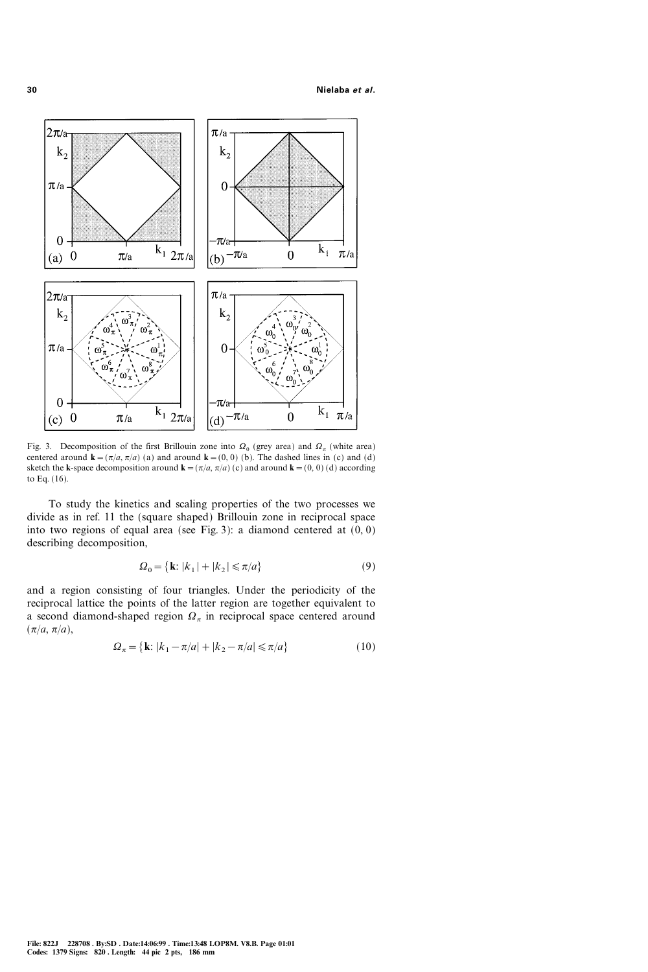

Fig. 3. Decomposition of the first Brillouin zone into  $\Omega_0$  (grey area) and  $\Omega_{\pi}$  (white area) centered around  $\mathbf{k}=(\pi/a, \pi/a)$  (a) and around  $\mathbf{k}=(0, 0)$  (b). The dashed lines in (c) and (d) sketch the k-space decomposition around  $\mathbf{k}=(\pi/a, \pi/a)$  (c) and around  $\mathbf{k}=(0, 0)$  (d) according to Eq. (16).

To study the kinetics and scaling properties of the two processes we divide as in ref. 11 the (square shaped) Brillouin zone in reciprocal space into two regions of equal area (see Fig. 3): a diamond centered at  $(0, 0)$ describing decomposition,

$$
\Omega_0 = \{ \mathbf{k} : |k_1| + |k_2| \le \pi/a \} \tag{9}
$$

and a region consisting of four triangles. Under the periodicity of the reciprocal lattice the points of the latter region are together equivalent to a second diamond-shaped region  $\Omega_{\pi}$  in reciprocal space centered around  $(\pi/a, \pi/a),$ 

$$
\Omega_{\pi} = \{ \mathbf{k} : |k_1 - \pi/a| + |k_2 - \pi/a| \le \pi/a \}
$$
 (10)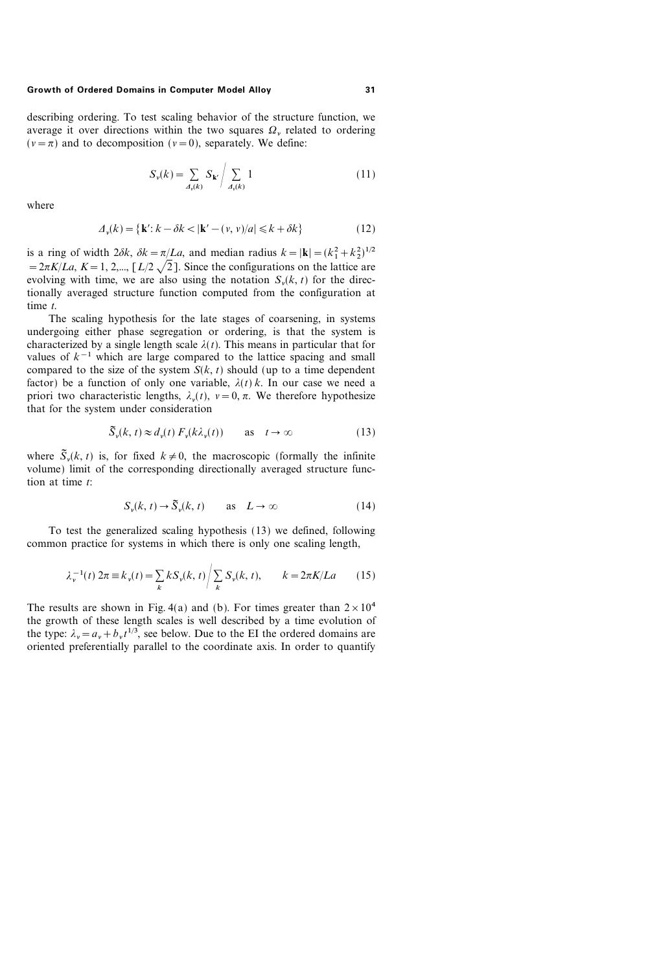describing ordering. To test scaling behavior of the structure function, we average it over directions within the two squares  $\Omega$ , related to ordering  $(v=\pi)$  and to decomposition  $(v=0)$ , separately. We define:

$$
S_{\nu}(k) = \sum_{A_{\nu}(k)} S_{\mathbf{k}'} / \sum_{A_{\nu}(k)} 1
$$
 (11)

where

$$
\Delta_v(k) = \{ \mathbf{k}' : k - \delta k < |\mathbf{k}' - (v, v)/a| \leq k + \delta k \} \tag{12}
$$

is a ring of width  $2\delta k$ ,  $\delta k = \pi/La$ , and median radius  $k = |\mathbf{k}| = (k_1^2 + k_2^2)^{1/2}$  $=2\pi K/La$ ,  $K=1, 2,..., [L/2\sqrt{2}]$ . Since the configurations on the lattice are evolving with time, we are also using the notation  $S_{\nu}(k, t)$  for the directionally averaged structure function computed from the configuration at time t.

The scaling hypothesis for the late stages of coarsening, in systems undergoing either phase segregation or ordering, is that the system is characterized by a single length scale  $\lambda(t)$ . This means in particular that for values of  $k^{-1}$  which are large compared to the lattice spacing and small compared to the size of the system  $S(k, t)$  should (up to a time dependent factor) be a function of only one variable,  $\lambda(t)$  k. In our case we need a priori two characteristic lengths,  $\lambda_n(t)$ ,  $v=0$ ,  $\pi$ . We therefore hypothesize that for the system under consideration

$$
\widetilde{S}_{\nu}(k, t) \approx d_{\nu}(t) \, F_{\nu}(k\lambda_{\nu}(t)) \qquad \text{as} \quad t \to \infty \tag{13}
$$

where  $\tilde{S}_n(k, t)$  is, for fixed  $k \neq 0$ , the macroscopic (formally the infinite volume) limit of the corresponding directionally averaged structure function at time  $t$ :

$$
S_{\nu}(k, t) \to \tilde{S}_{\nu}(k, t) \qquad \text{as} \quad L \to \infty \tag{14}
$$

To test the generalized scaling hypothesis (13) we defined, following common practice for systems in which there is only one scaling length,

$$
\lambda_{\nu}^{-1}(t) \, 2\pi \equiv k_{\nu}(t) = \sum_{k} k S_{\nu}(k, t) \bigg/ \sum_{k} S_{\nu}(k, t), \qquad k = 2\pi K / La \tag{15}
$$

The results are shown in Fig. 4(a) and (b). For times greater than  $2 \times 10^4$ the growth of these length scales is well described by a time evolution of the type:  $\lambda_v = a_v + b_v t^{1/3}$ , see below. Due to the EI the ordered domains are oriented preferentially parallel to the coordinate axis. In order to quantify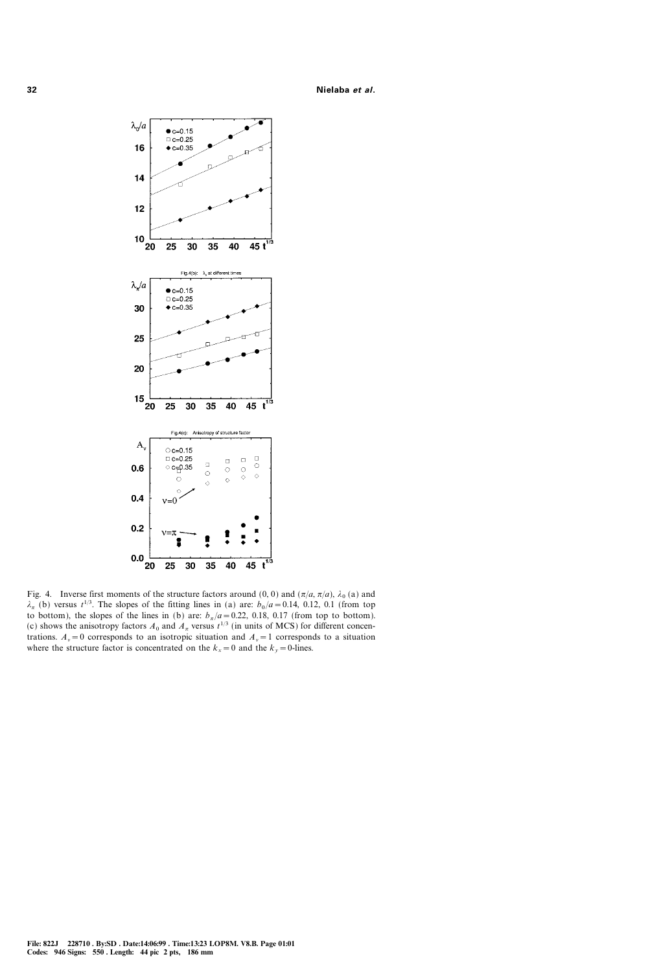

Fig. 4. Inverse first moments of the structure factors around (0, 0) and  $(\pi/a, \pi/a)$ ,  $\lambda_0$  (a) and  $\lambda_{\pi}$  (b) versus  $t^{1/3}$ . The slopes of the fitting lines in (a) are:  $b_0/a=0.14$ , 0.12, 0.1 (from top to bottom), the slopes of the lines in (b) are:  $b_{\pi}/a = 0.22$ , 0.18, 0.17 (from top to bottom). (c) shows the anisotropy factors  $A_0$  and  $A_\pi$  versus  $t^{1/3}$  (in units of MCS) for different concentrations.  $A_y = 0$  corresponds to an isotropic situation and  $A_y = 1$  corresponds to a situation where the structure factor is concentrated on the  $k_x=0$  and the  $k_y=0$ -lines.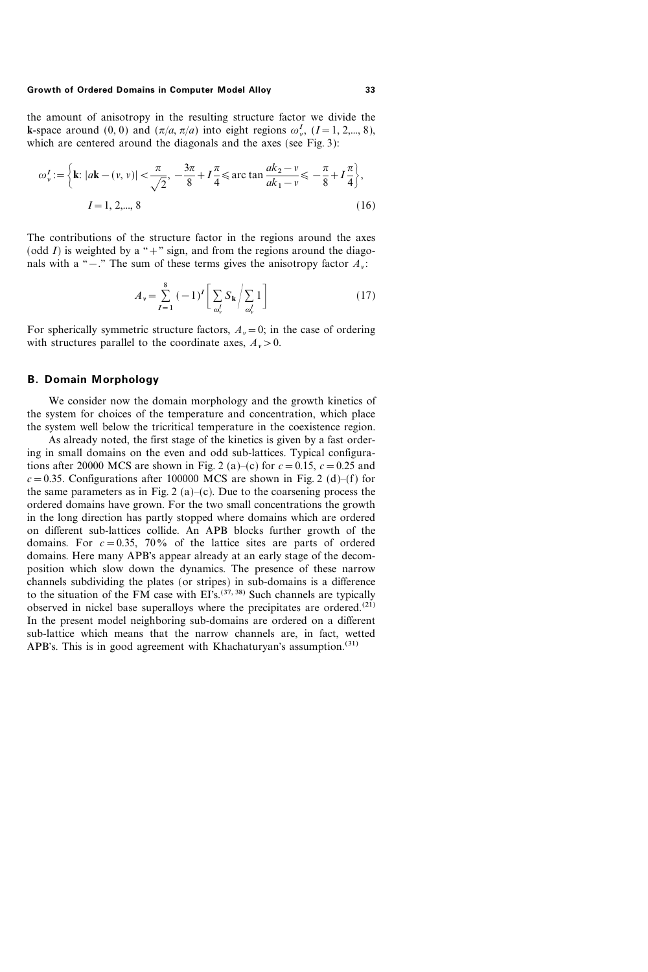the amount of anisotropy in the resulting structure factor we divide the **k**-space around (0, 0) and  $(\pi/a, \pi/a)$  into eight regions  $\omega_r^I$ ,  $(I = 1, 2,..., 8)$ , which are centered around the diagonals and the axes (see Fig. 3):

$$
\omega_{\nu}^{I} := \left\{ \mathbf{k} : |a\mathbf{k} - (\nu, \nu)| < \frac{\pi}{\sqrt{2}}, -\frac{3\pi}{8} + I\frac{\pi}{4} \le \arctan \frac{ak_2 - \nu}{ak_1 - \nu} \le -\frac{\pi}{8} + I\frac{\pi}{4} \right\},\
$$
  
\n
$$
I = 1, 2, \dots, 8
$$
 (16)

The contributions of the structure factor in the regions around the axes (odd I) is weighted by a "+" sign, and from the regions around the diagonals with a " $-$ ." The sum of these terms gives the anisotropy factor  $A_{\nu}$ :

$$
A_{\nu} = \sum_{I=1}^{8} (-1)^{I} \left[ \sum_{\omega_{\nu}^{I}} S_{\mathbf{k}} / \sum_{\omega_{\nu}^{I}} 1 \right]
$$
 (17)

For spherically symmetric structure factors,  $A_y = 0$ ; in the case of ordering with structures parallel to the coordinate axes,  $A_{\nu} > 0$ .

### B. Domain Morphology

We consider now the domain morphology and the growth kinetics of the system for choices of the temperature and concentration, which place the system well below the tricritical temperature in the coexistence region.

As already noted, the first stage of the kinetics is given by a fast ordering in small domains on the even and odd sub-lattices. Typical configurations after 20000 MCS are shown in Fig. 2 (a)–(c) for  $c=0.15$ ,  $c=0.25$  and  $c=0.35$ . Configurations after 100000 MCS are shown in Fig. 2 (d)–(f) for the same parameters as in Fig. 2 (a)–(c). Due to the coarsening process the ordered domains have grown. For the two small concentrations the growth in the long direction has partly stopped where domains which are ordered on different sub-lattices collide. An APB blocks further growth of the domains. For  $c=0.35$ , 70% of the lattice sites are parts of ordered domains. Here many APB's appear already at an early stage of the decomposition which slow down the dynamics. The presence of these narrow channels subdividing the plates (or stripes) in sub-domains is a difference to the situation of the FM case with  $E^{\Gamma_{S}(37, 38)}$  Such channels are typically observed in nickel base superalloys where the precipitates are ordered.<sup> $(21)$ </sup> In the present model neighboring sub-domains are ordered on a different sub-lattice which means that the narrow channels are, in fact, wetted APB's. This is in good agreement with Khachaturyan's assumption.<sup>(31)</sup>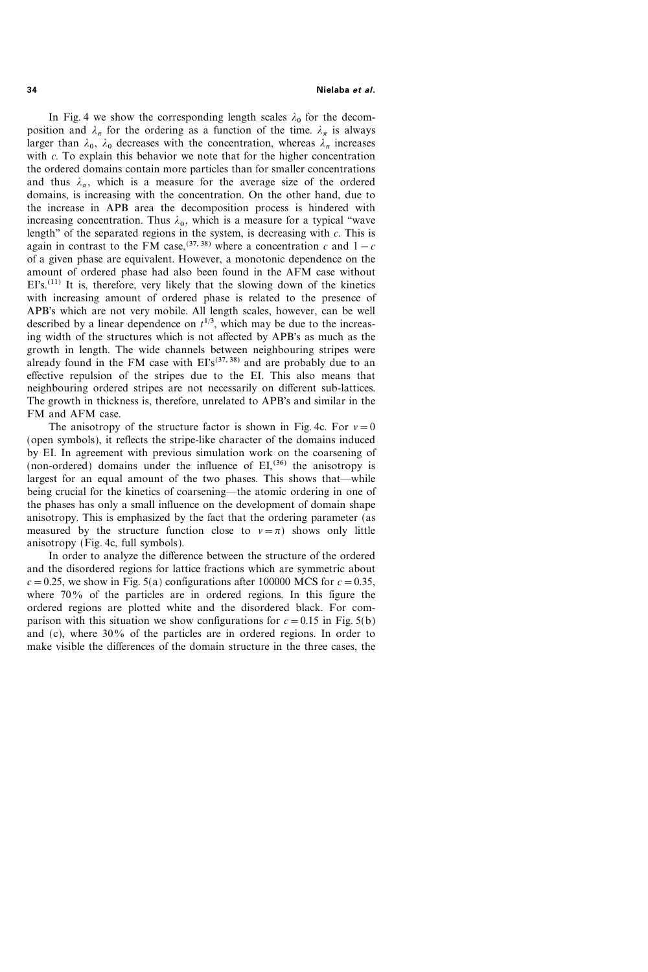In Fig. 4 we show the corresponding length scales  $\lambda_0$  for the decomposition and  $\lambda_{\pi}$  for the ordering as a function of the time.  $\lambda_{\pi}$  is always larger than  $\lambda_0$ ,  $\lambda_0$  decreases with the concentration, whereas  $\lambda_\pi$  increases with  $c$ . To explain this behavior we note that for the higher concentration the ordered domains contain more particles than for smaller concentrations and thus  $\lambda_{\pi}$ , which is a measure for the average size of the ordered domains, is increasing with the concentration. On the other hand, due to the increase in APB area the decomposition process is hindered with increasing concentration. Thus  $\lambda_0$ , which is a measure for a typical "wave length" of the separated regions in the system, is decreasing with  $c$ . This is again in contrast to the FM case,<sup>(37, 38)</sup> where a concentration c and  $1-c$ of a given phase are equivalent. However, a monotonic dependence on the amount of ordered phase had also been found in the AFM case without  $E\Gamma s$ <sup>(11)</sup> It is, therefore, very likely that the slowing down of the kinetics with increasing amount of ordered phase is related to the presence of APB's which are not very mobile. All length scales, however, can be well described by a linear dependence on  $t^{1/3}$ , which may be due to the increasing width of the structures which is not affected by APB's as much as the growth in length. The wide channels between neighbouring stripes were already found in the FM case with  $E^s(37, 38)$  and are probably due to an effective repulsion of the stripes due to the EI. This also means that neighbouring ordered stripes are not necessarily on different sub-lattices. The growth in thickness is, therefore, unrelated to APB's and similar in the FM and AFM case.

The anisotropy of the structure factor is shown in Fig. 4c. For  $v=0$ (open symbols), it reflects the stripe-like character of the domains induced by EI. In agreement with previous simulation work on the coarsening of (non-ordered) domains under the influence of  $EI<sub>5</sub><sup>(36)</sup>$  the anisotropy is largest for an equal amount of the two phases. This shows that—while being crucial for the kinetics of coarsening—the atomic ordering in one of the phases has only a small influence on the development of domain shape anisotropy. This is emphasized by the fact that the ordering parameter (as measured by the structure function close to  $v=\pi$ ) shows only little anisotropy (Fig. 4c, full symbols).

In order to analyze the difference between the structure of the ordered and the disordered regions for lattice fractions which are symmetric about  $c=0.25$ , we show in Fig. 5(a) configurations after 100000 MCS for  $c=0.35$ , where  $70\%$  of the particles are in ordered regions. In this figure the ordered regions are plotted white and the disordered black. For comparison with this situation we show configurations for  $c=0.15$  in Fig. 5(b) and (c), where  $30\%$  of the particles are in ordered regions. In order to make visible the differences of the domain structure in the three cases, the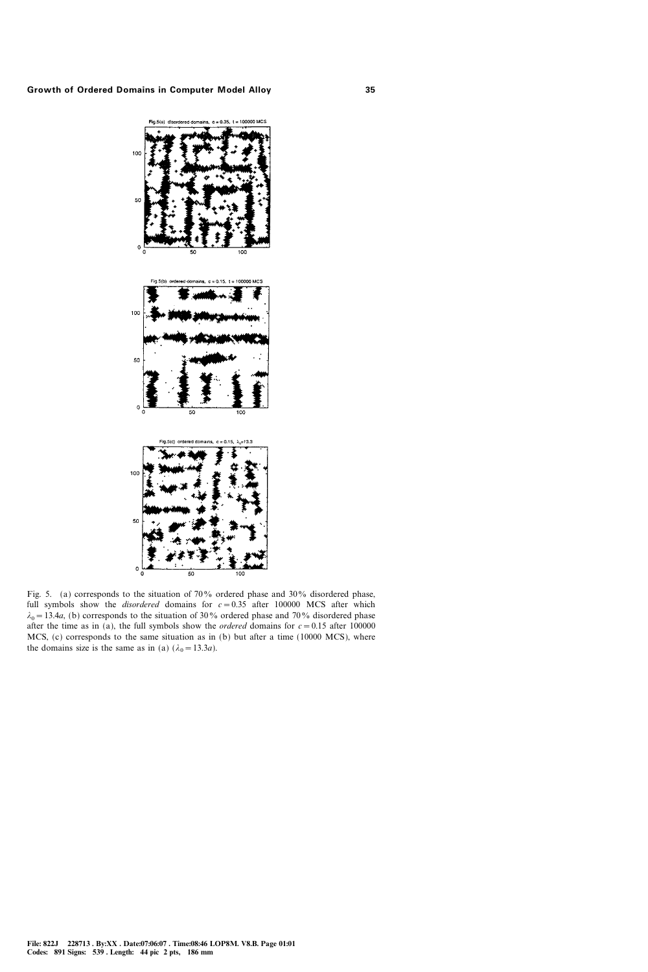

Fig. 5. (a) corresponds to the situation of 70% ordered phase and 30% disordered phase, full symbols show the *disordered* domains for  $c = 0.35$  after 100000 MCS after which  $\lambda_0 = 13.4a$ , (b) corresponds to the situation of 30% ordered phase and 70% disordered phase after the time as in (a), the full symbols show the *ordered* domains for  $c=0.15$  after 100000 MCS, (c) corresponds to the same situation as in (b) but after a time (10000 MCS), where the domains size is the same as in (a)  $(\lambda_0=13.3a)$ .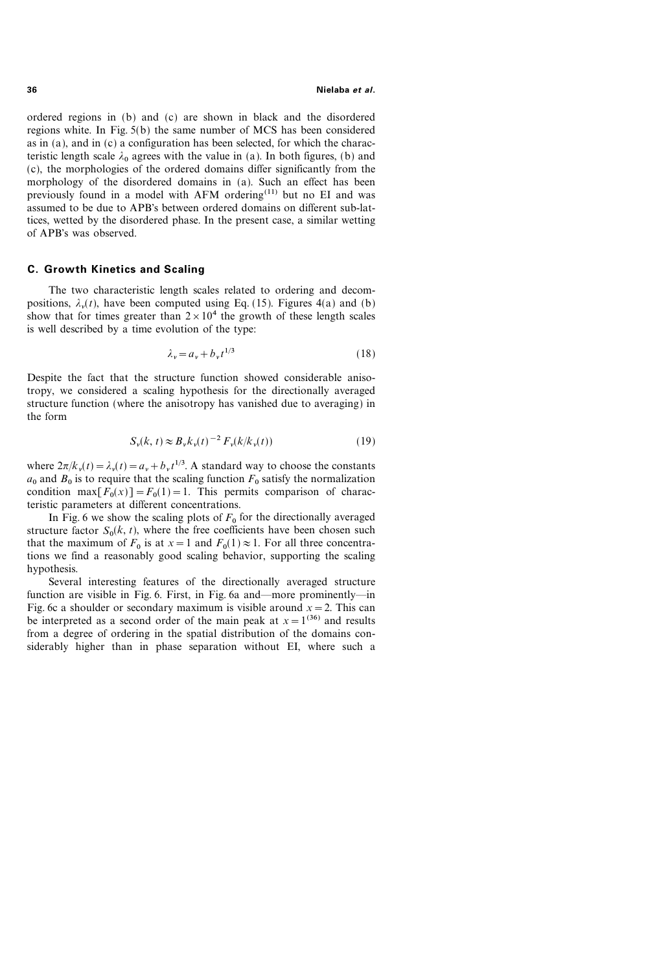ordered regions in (b) and (c) are shown in black and the disordered regions white. In Fig. 5(b) the same number of MCS has been considered as in (a), and in (c) a configuration has been selected, for which the characteristic length scale  $\lambda_0$  agrees with the value in (a). In both figures, (b) and (c), the morphologies of the ordered domains differ significantly from the morphology of the disordered domains in (a). Such an effect has been previously found in a model with AFM ordering<sup>(11)</sup> but no EI and was assumed to be due to APB's between ordered domains on different sub-lattices, wetted by the disordered phase. In the present case, a similar wetting of APB's was observed.

### C. Growth Kinetics and Scaling

The two characteristic length scales related to ordering and decompositions,  $\lambda_{v}(t)$ , have been computed using Eq. (15). Figures 4(a) and (b) show that for times greater than  $2 \times 10^4$  the growth of these length scales is well described by a time evolution of the type:

$$
\lambda_{\nu} = a_{\nu} + b_{\nu} t^{1/3} \tag{18}
$$

Despite the fact that the structure function showed considerable anisotropy, we considered a scaling hypothesis for the directionally averaged structure function (where the anisotropy has vanished due to averaging) in the form

$$
S_{\nu}(k, t) \approx B_{\nu} k_{\nu}(t)^{-2} F_{\nu}(k/k_{\nu}(t)) \tag{19}
$$

where  $2\pi/k_v(t) = \lambda_v(t) = a_v + b_v t^{1/3}$ . A standard way to choose the constants  $a_0$  and  $B_0$  is to require that the scaling function  $F_0$  satisfy the normalization condition max $[F_0(x)] = F_0(1) = 1$ . This permits comparison of characteristic parameters at different concentrations.

In Fig. 6 we show the scaling plots of  $F_0$  for the directionally averaged structure factor  $S_0(k, t)$ , where the free coefficients have been chosen such that the maximum of  $F_0$  is at  $x=1$  and  $F_0(1)\approx 1$ . For all three concentrations we find a reasonably good scaling behavior, supporting the scaling hypothesis.

Several interesting features of the directionally averaged structure function are visible in Fig. 6. First, in Fig. 6a and—more prominently—in Fig. 6c a shoulder or secondary maximum is visible around  $x=2$ . This can be interpreted as a second order of the main peak at  $x=1^{(36)}$  and results from a degree of ordering in the spatial distribution of the domains considerably higher than in phase separation without EI, where such a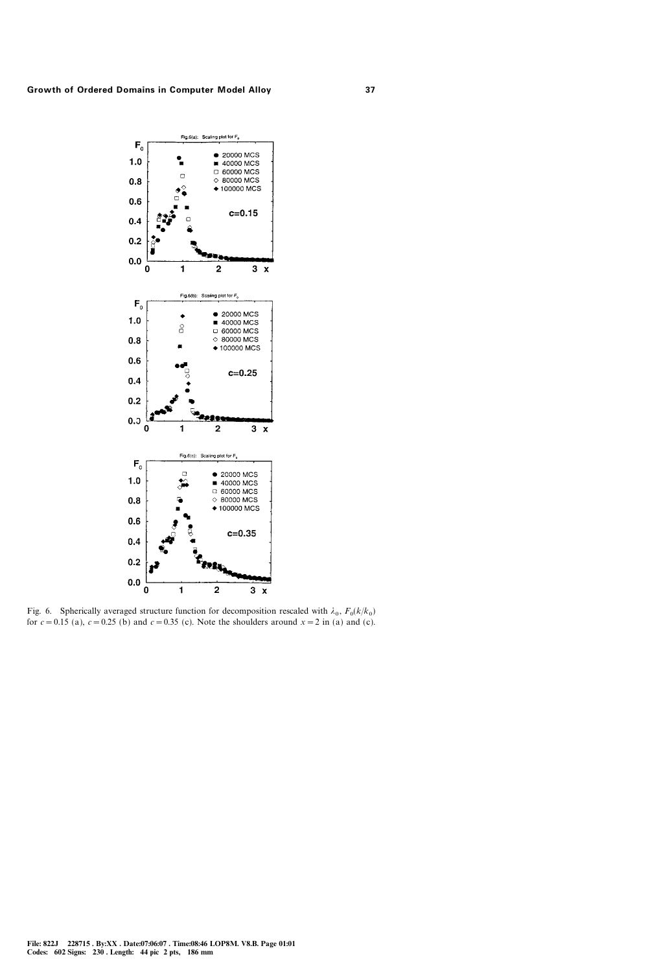

Fig. 6. Spherically averaged structure function for decomposition rescaled with  $\lambda_0$ ,  $F_0(k/k_0)$ for  $c=0.15$  (a),  $c=0.25$  (b) and  $c=0.35$  (c). Note the shoulders around  $x=2$  in (a) and (c).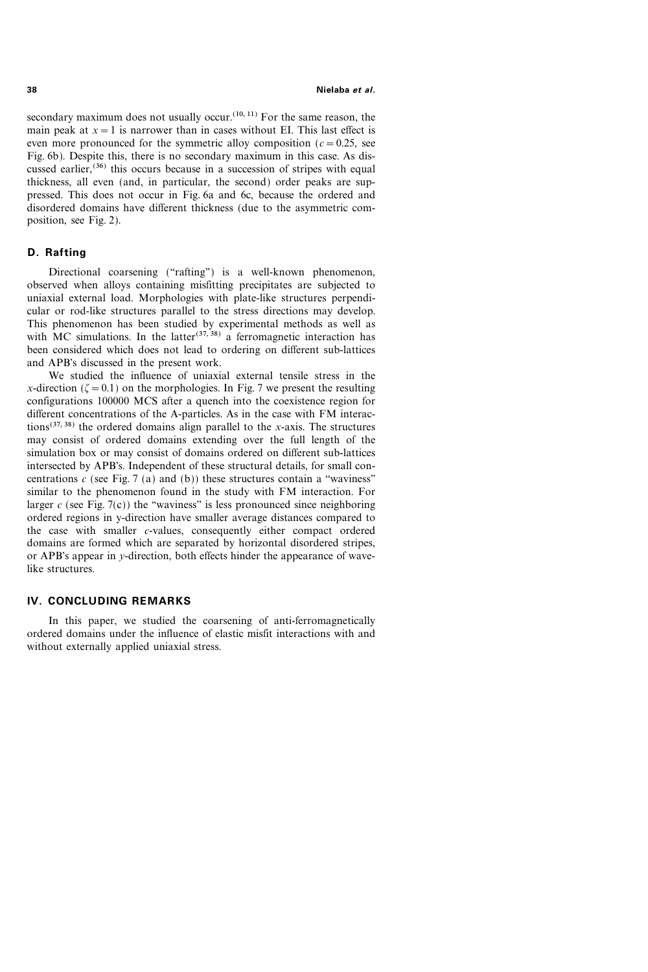38 Nielaba et al.

secondary maximum does not usually occur.<sup> $(10, 11)$ </sup> For the same reason, the main peak at  $x=1$  is narrower than in cases without EI. This last effect is even more pronounced for the symmetric alloy composition ( $c=0.25$ , see Fig. 6b). Despite this, there is no secondary maximum in this case. As discussed earlier,<sup> $(36)$ </sup> this occurs because in a succession of stripes with equal thickness, all even (and, in particular, the second) order peaks are suppressed. This does not occur in Fig. 6a and 6c, because the ordered and disordered domains have different thickness (due to the asymmetric composition, see Fig. 2).

# D. Rafting

Directional coarsening ("rafting") is a well-known phenomenon, observed when alloys containing misfitting precipitates are subjected to uniaxial external load. Morphologies with plate-like structures perpendicular or rod-like structures parallel to the stress directions may develop. This phenomenon has been studied by experimental methods as well as with MC simulations. In the latter<sup>(37, 38)</sup> a ferromagnetic interaction has been considered which does not lead to ordering on different sub-lattices and APB's discussed in the present work.

We studied the influence of uniaxial external tensile stress in the x-direction ( $\zeta = 0.1$ ) on the morphologies. In Fig. 7 we present the resulting configurations 100000 MCS after a quench into the coexistence region for different concentrations of the A-particles. As in the case with FM interactions<sup>(37, 38)</sup> the ordered domains align parallel to the x-axis. The structures may consist of ordered domains extending over the full length of the simulation box or may consist of domains ordered on different sub-lattices intersected by APB's. Independent of these structural details, for small concentrations c (see Fig. 7 (a) and (b)) these structures contain a "waviness" similar to the phenomenon found in the study with FM interaction. For larger c (see Fig.  $7(c)$ ) the "waviness" is less pronounced since neighboring ordered regions in y-direction have smaller average distances compared to the case with smaller  $c$ -values, consequently either compact ordered domains are formed which are separated by horizontal disordered stripes, or APB's appear in y-direction, both effects hinder the appearance of wavelike structures.

# IV. CONCLUDING REMARKS

In this paper, we studied the coarsening of anti-ferromagnetically ordered domains under the influence of elastic misfit interactions with and without externally applied uniaxial stress.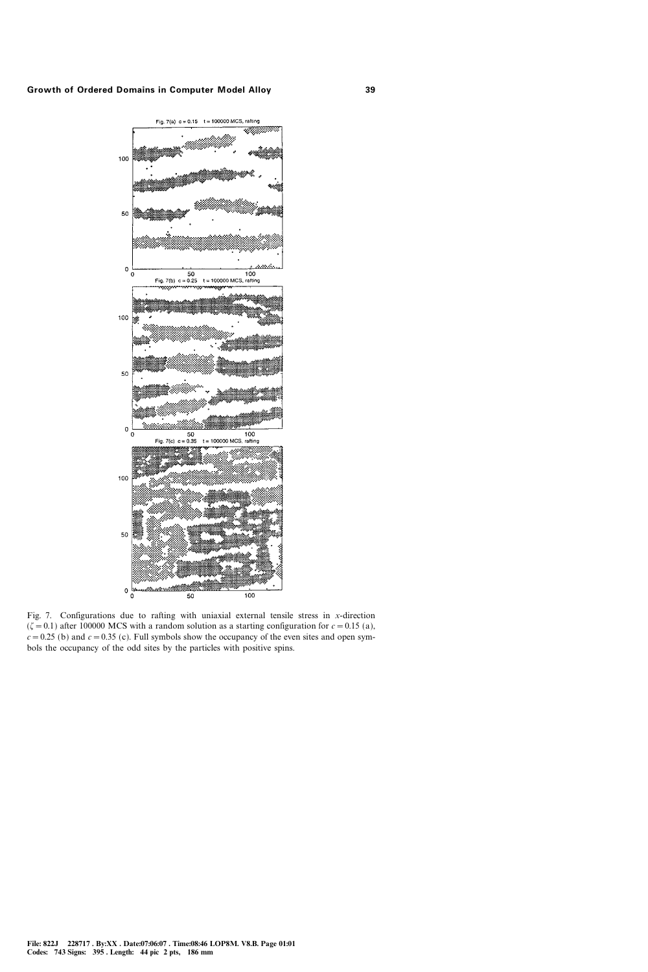

Fig. 7. Configurations due to rafting with uniaxial external tensile stress in  $x$ -direction  $(\zeta = 0.1)$  after 100000 MCS with a random solution as a starting configuration for  $c = 0.15$  (a),  $c=0.25$  (b) and  $c=0.35$  (c). Full symbols show the occupancy of the even sites and open symbols the occupancy of the odd sites by the particles with positive spins.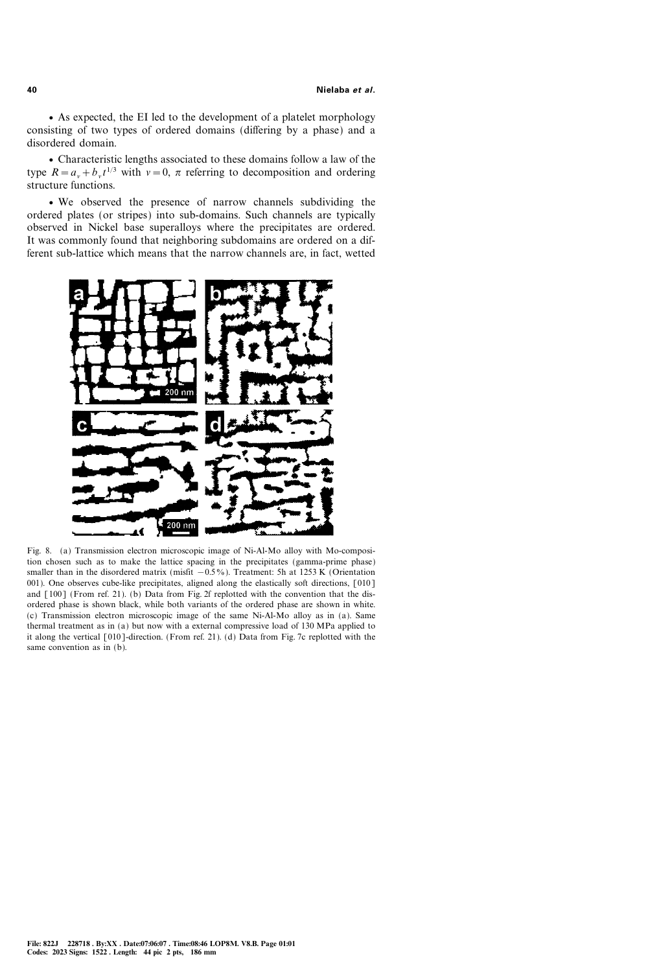v As expected, the EI led to the development of a platelet morphology consisting of two types of ordered domains (differing by a phase) and a disordered domain.

v Characteristic lengths associated to these domains follow a law of the type  $R = a_y + b_y t^{1/3}$  with  $v = 0$ ,  $\pi$  referring to decomposition and ordering structure functions.

v We observed the presence of narrow channels subdividing the ordered plates (or stripes) into sub-domains. Such channels are typically observed in Nickel base superalloys where the precipitates are ordered. It was commonly found that neighboring subdomains are ordered on a different sub-lattice which means that the narrow channels are, in fact, wetted



Fig. 8. (a) Transmission electron microscopic image of Ni-Al-Mo alloy with Mo-composition chosen such as to make the lattice spacing in the precipitates (gamma-prime phase) smaller than in the disordered matrix (misfit  $-0.5\%$ ). Treatment: 5h at 1253 K (Orientation 001). One observes cube-like precipitates, aligned along the elastically soft directions, [010] and [100] (From ref. 21). (b) Data from Fig. 2f replotted with the convention that the disordered phase is shown black, while both variants of the ordered phase are shown in white. (c) Transmission electron microscopic image of the same Ni-Al-Mo alloy as in (a). Same thermal treatment as in (a) but now with a external compressive load of 130 MPa applied to it along the vertical [010]-direction. (From ref. 21). (d) Data from Fig. 7c replotted with the same convention as in (b).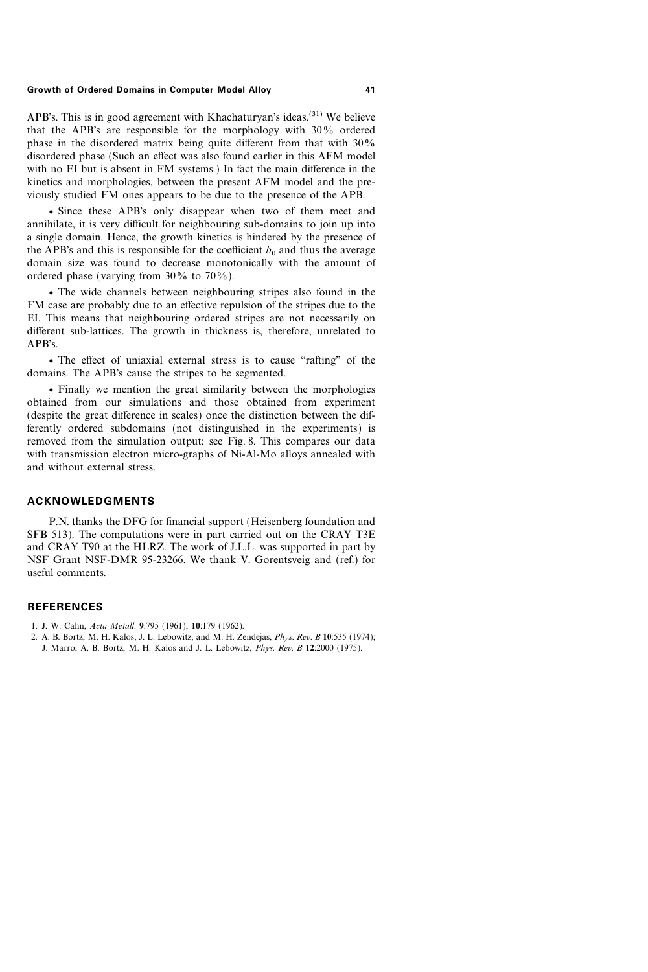APB's. This is in good agreement with Khachaturyan's ideas.<sup>(31)</sup> We believe that the APB's are responsible for the morphology with  $30\%$  ordered phase in the disordered matrix being quite different from that with  $30\%$ disordered phase (Such an effect was also found earlier in this AFM model with no EI but is absent in FM systems.) In fact the main difference in the kinetics and morphologies, between the present AFM model and the previously studied FM ones appears to be due to the presence of the APB.

• Since these APB's only disappear when two of them meet and annihilate, it is very difficult for neighbouring sub-domains to join up into a single domain. Hence, the growth kinetics is hindered by the presence of the APB's and this is responsible for the coefficient  $b_0$  and thus the average domain size was found to decrease monotonically with the amount of ordered phase (varying from  $30\%$  to  $70\%$ ).

v The wide channels between neighbouring stripes also found in the FM case are probably due to an effective repulsion of the stripes due to the EI. This means that neighbouring ordered stripes are not necessarily on different sub-lattices. The growth in thickness is, therefore, unrelated to APB's.

• The effect of uniaxial external stress is to cause "rafting" of the domains. The APB's cause the stripes to be segmented.

v Finally we mention the great similarity between the morphologies obtained from our simulations and those obtained from experiment (despite the great difference in scales) once the distinction between the differently ordered subdomains (not distinguished in the experiments) is removed from the simulation output; see Fig. 8. This compares our data with transmission electron micro-graphs of Ni-Al-Mo alloys annealed with and without external stress.

### ACKNOWLEDGMENTS

P.N. thanks the DFG for financial support (Heisenberg foundation and SFB 513). The computations were in part carried out on the CRAY T3E and CRAY T90 at the HLRZ. The work of J.L.L. was supported in part by NSF Grant NSF-DMR 95-23266. We thank V. Gorentsveig and (ref.) for useful comments.

### **REFERENCES**

- 1. J. W. Cahn, Acta Metall. 9:795 (1961); 10:179 (1962).
- 2. A. B. Bortz, M. H. Kalos, J. L. Lebowitz, and M. H. Zendejas, Phys. Rev. B 10:535 (1974);
	- J. Marro, A. B. Bortz, M. H. Kalos and J. L. Lebowitz, Phys. Rev. B 12:2000 (1975).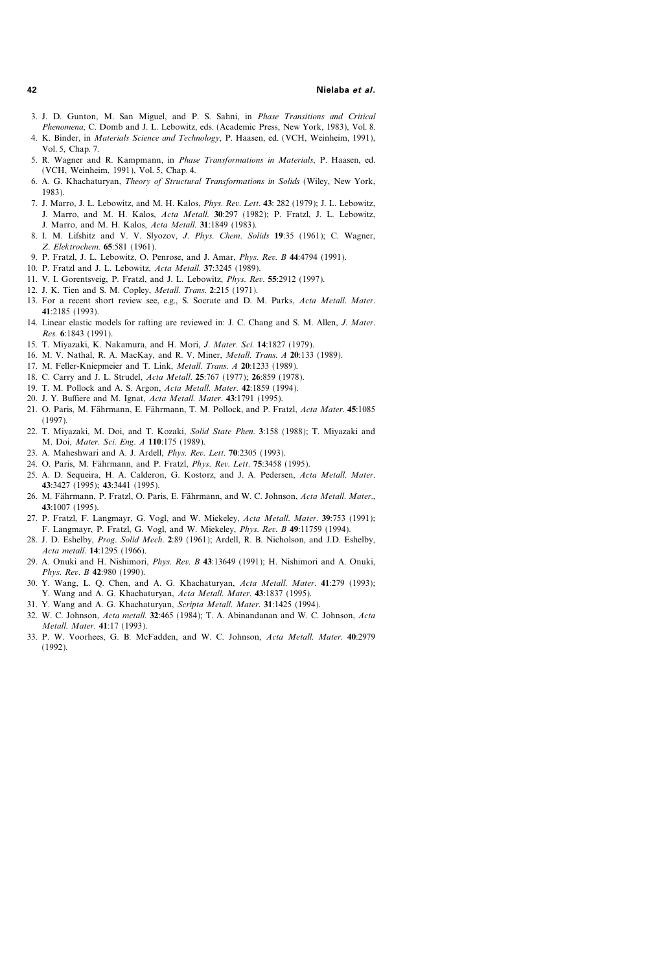- 3. J. D. Gunton, M. San Miguel, and P. S. Sahni, in Phase Transitions and Critical Phenomena, C. Domb and J. L. Lebowitz, eds. (Academic Press, New York, 1983), Vol. 8.
- 4. K. Binder, in Materials Science and Technology, P. Haasen, ed. (VCH, Weinheim, 1991), Vol. 5, Chap. 7.
- 5. R. Wagner and R. Kampmann, in Phase Transformations in Materials, P. Haasen, ed. (VCH, Weinheim, 1991), Vol. 5, Chap. 4.
- 6. A. G. Khachaturyan, Theory of Structural Transformations in Solids (Wiley, New York, 1983).
- 7. J. Marro, J. L. Lebowitz, and M. H. Kalos, Phys. Rev. Lett. 43: 282 (1979); J. L. Lebowitz, J. Marro, and M. H. Kalos, Acta Metall. 30:297 (1982); P. Fratzl, J. L. Lebowitz, J. Marro, and M. H. Kalos, Acta Metall. 31:1849 (1983).
- 8. I. M. Lifshitz and V. V. Slyozov, J. Phys. Chem. Solids 19:35 (1961); C. Wagner, Z. Elektrochem. 65:581 (1961).
- 9. P. Fratzl, J. L. Lebowitz, O. Penrose, and J. Amar, Phys. Rev. B 44:4794 (1991).
- 10. P. Fratzl and J. L. Lebowitz, Acta Metall. 37:3245 (1989).
- 11. V. I. Gorentsveig, P. Fratzl, and J. L. Lebowitz, Phys. Rev. 55:2912 (1997).
- 12. J. K. Tien and S. M. Copley, Metall. Trans. 2:215 (1971).
- 13. For a recent short review see, e.g., S. Socrate and D. M. Parks, Acta Metall. Mater. 41:2185 (1993).
- 14. Linear elastic models for rafting are reviewed in: J. C. Chang and S. M. Allen, *J. Mater*. Res. 6:1843 (1991).
- 15. T. Miyazaki, K. Nakamura, and H. Mori, J. Mater. Sci. 14:1827 (1979).
- 16. M. V. Nathal, R. A. MacKay, and R. V. Miner, Metall. Trans. A 20:133 (1989).
- 17. M. Feller-Kniepmeier and T. Link, Metall. Trans. A 20:1233 (1989).
- 18. C. Carry and J. L. Strudel, Acta Metall. 25:767 (1977); 26:859 (1978).
- 19. T. M. Pollock and A. S. Argon, Acta Metall. Mater. 42:1859 (1994).
- 20. J. Y. Buffiere and M. Ignat, Acta Metall. Mater. 43:1791 (1995).
- 21. O. Paris, M. Fährmann, E. Fährmann, T. M. Pollock, and P. Fratzl, Acta Mater. 45:1085 (1997).
- 22. T. Miyazaki, M. Doi, and T. Kozaki, Solid State Phen. 3:158 (1988); T. Miyazaki and M. Doi, Mater. Sci. Eng. A 110:175 (1989).
- 23. A. Maheshwari and A. J. Ardell, Phys. Rev. Lett. 70:2305 (1993).
- 24. O. Paris, M. Fährmann, and P. Fratzl, *Phys. Rev. Lett.* **75**:3458 (1995).
- 25. A. D. Sequeira, H. A. Calderon, G. Kostorz, and J. A. Pedersen, Acta Metall. Mater. 43:3427 (1995); 43:3441 (1995).
- 26. M. Fährmann, P. Fratzl, O. Paris, E. Fährmann, and W. C. Johnson, Acta Metall. Mater., 43:1007 (1995).
- 27. P. Fratzl, F. Langmayr, G. Vogl, and W. Miekeley, Acta Metall. Mater. 39:753 (1991); F. Langmayr, P. Fratzl, G. Vogl, and W. Miekeley, Phys. Rev. B 49:11759 (1994).
- 28. J. D. Eshelby, Prog. Solid Mech. 2:89 (1961); Ardell, R. B. Nicholson, and J.D. Eshelby, Acta metall. 14:1295 (1966).
- 29. A. Onuki and H. Nishimori, Phys. Rev. B 43:13649 (1991); H. Nishimori and A. Onuki, Phys. Rev. B 42:980 (1990).
- 30. Y. Wang, L. Q. Chen, and A. G. Khachaturyan, Acta Metall. Mater. 41:279 (1993); Y. Wang and A. G. Khachaturyan, Acta Metall. Mater. 43:1837 (1995).
- 31. Y. Wang and A. G. Khachaturyan, Scripta Metall. Mater. 31:1425 (1994).
- 32. W. C. Johnson, Acta metall. 32:465 (1984); T. A. Abinandanan and W. C. Johnson, Acta Metall. Mater. 41:17 (1993).
- 33. P. W. Voorhees, G. B. McFadden, and W. C. Johnson, Acta Metall. Mater. 40:2979 (1992).